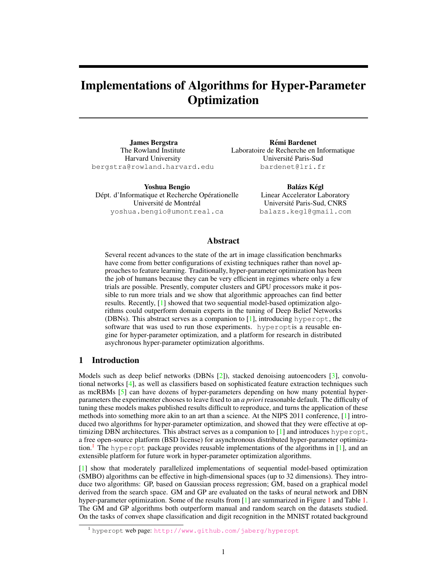# Implementations of Algorithms for Hyper-Parameter **Optimization**

James Bergstra The Rowland Institute Harvard University bergstra@rowland.harvard.edu

Yoshua Bengio Dépt. d'Informatique et Recherche Opérationelle Université de Montréal yoshua.bengio@umontreal.ca

Remi Bardenet ´ Laboratoire de Recherche en Informatique Universite Paris-Sud ´ bardenet@lri.fr

> Balázs Kégl Linear Accelerator Laboratory Universite Paris-Sud, CNRS ´ balazs.kegl@gmail.com

# Abstract

Several recent advances to the state of the art in image classification benchmarks have come from better configurations of existing techniques rather than novel approaches to feature learning. Traditionally, hyper-parameter optimization has been the job of humans because they can be very efficient in regimes where only a few trials are possible. Presently, computer clusters and GPU processors make it possible to run more trials and we show that algorithmic approaches can find better results. Recently, [\[1\]](#page-4-0) showed that two sequential model-based optimization algorithms could outperform domain experts in the tuning of Deep Belief Networks (DBNs). This abstract serves as a companion to  $[1]$ , introducing hyperopt, the software that was used to run those experiments. hyperoptis a reusable engine for hyper-parameter optimization, and a platform for research in distributed asychronous hyper-parameter optimization algorithms.

# 1 Introduction

Models such as deep belief networks (DBNs [\[2\]](#page-4-1)), stacked denoising autoencoders [\[3\]](#page-4-2), convolutional networks [\[4\]](#page-4-3), as well as classifiers based on sophisticated feature extraction techniques such as mcRBMs [\[5\]](#page-4-4) can have dozens of hyper-parameters depending on how many potential hyperparameters the experimenter chooses to leave fixed to an *a priori* reasonable default. The difficulty of tuning these models makes published results difficult to reproduce, and turns the application of these methods into something more akin to an art than a science. At the NIPS 2011 conference, [\[1\]](#page-4-0) introduced two algorithms for hyper-parameter optimization, and showed that they were effective at optimizing DBN architectures. This abstract serves as a companion to  $[1]$  and introduces hyperopt, a free open-source platform (BSD license) for asynchronous distributed hyper-parameter optimiza-tion.<sup>[1](#page-0-0)</sup> The hyperopt package provides reusable implementations of the algorithms in [\[1\]](#page-4-0), and an extensible platform for future work in hyper-parameter optimization algorithms.

[\[1\]](#page-4-0) show that moderately parallelized implementations of sequential model-based optimization (SMBO) algorithms can be effective in high-dimensional spaces (up to 32 dimensions). They introduce two algorithms: GP, based on Gaussian process regression; GM, based on a graphical model derived from the search space. GM and GP are evaluated on the tasks of neural network and DBN hyper-parameter optimization. Some of the results from [\[1\]](#page-4-0) are summarized in Figure [1](#page-1-0) and Table [1.](#page-1-1) The GM and GP algorithms both outperform manual and random search on the datasets studied. On the tasks of convex shape classification and digit recognition in the MNIST rotated background

<span id="page-0-0"></span><sup>1</sup> hyperopt web page: <http://www.github.com/jaberg/hyperopt>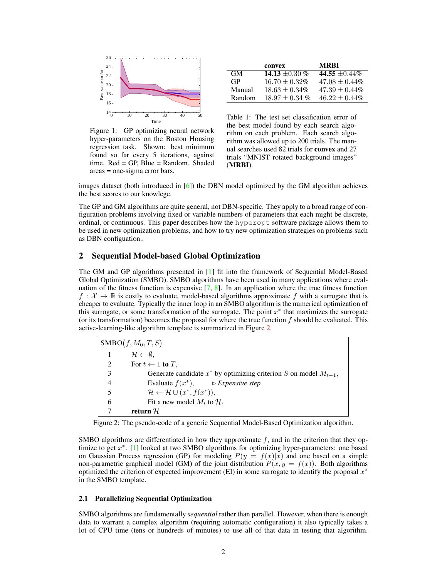

<span id="page-1-0"></span>Figure 1: GP optimizing neural network hyper-parameters on the Boston Housing regression task. Shown: best minimum found so far every 5 iterations, against time. Red = GP, Blue = Random. Shaded areas = one-sigma error bars.

|           | convex              | MRRI               |
|-----------|---------------------|--------------------|
| <b>GM</b> | 14.13 $\pm 0.30 \%$ | 44.55 $\pm 0.44\%$ |
| <b>GP</b> | $16.70 + 0.32\%$    | $47.08 + 0.44\%$   |
| Manual    | $18.63 \pm 0.34\%$  | $47.39 \pm 0.44\%$ |
| Random    | $18.97 \pm 0.34\%$  | $46.22 \pm 0.44\%$ |

<span id="page-1-1"></span>Table 1: The test set classification error of the best model found by each search algorithm on each problem. Each search algorithm was allowed up to 200 trials. The manual searches used 82 trials for convex and 27 trials "MNIST rotated background images" (MRBI).

images dataset (both introduced in [\[6\]](#page-4-5)) the DBN model optimized by the GM algorithm achieves the best scores to our knowlege.

The GP and GM algorithms are quite general, not DBN-specific. They apply to a broad range of configuration problems involving fixed or variable numbers of parameters that each might be discrete, ordinal, or continuous. This paper describes how the hyperopt software package allows them to be used in new optimization problems, and how to try new optimization strategies on problems such as DBN configuation..

## 2 Sequential Model-based Global Optimization

The GM and GP algorithms presented in [\[1\]](#page-4-0) fit into the framework of Sequential Model-Based Global Optimization (SMBO). SMBO algorithms have been used in many applications where evaluation of the fitness function is expensive [\[7,](#page-4-6) [8\]](#page-4-7). In an application where the true fitness function  $f: \mathcal{X} \to \mathbb{R}$  is costly to evaluate, model-based algorithms approximate f with a surrogate that is cheaper to evaluate. Typically the inner loop in an SMBO algorithm is the numerical optimization of this surrogate, or some transformation of the surrogate. The point  $x^*$  that maximizes the surrogate (or its transformation) becomes the proposal for where the true function  $f$  should be evaluated. This active-learning-like algorithm template is summarized in Figure [2.](#page-1-2)

| $\text{SMBO}(f, M_0, T, S)$ |                                                                         |  |
|-----------------------------|-------------------------------------------------------------------------|--|
|                             | $\mathcal{H} \leftarrow \emptyset$ .                                    |  |
| $\overline{2}$              | For $t \leftarrow 1$ to T,                                              |  |
| 3                           | Generate candidate $x^*$ by optimizing criterion S on model $M_{t-1}$ , |  |
| $\overline{4}$              | Evaluate $f(x^*)$ , $\qquad \triangleright$ Expensive step              |  |
| 5                           | $\mathcal{H} \leftarrow \mathcal{H} \cup (x^*, f(x^*)),$                |  |
| 6                           | Fit a new model $M_t$ to $H$ .                                          |  |
|                             | return $\mathcal H$                                                     |  |

<span id="page-1-2"></span>Figure 2: The pseudo-code of a generic Sequential Model-Based Optimization algorithm.

SMBO algorithms are differentiated in how they approximate  $f$ , and in the criterion that they optimize to get  $x^*$ . [\[1\]](#page-4-0) looked at two SMBO algorithms for optimizing hyper-parameters: one based on Gaussian Process regression (GP) for modeling  $P(y = f(x)|x)$  and one based on a simple non-parametric graphical model (GM) of the joint distribution  $P(x, y = f(x))$ . Both algorithms optimized the criterion of expected improvement (EI) in some surrogate to identify the proposal  $x^*$ in the SMBO template.

## 2.1 Parallelizing Sequential Optimization

SMBO algorithms are fundamentally *sequential* rather than parallel. However, when there is enough data to warrant a complex algorithm (requiring automatic configuration) it also typically takes a lot of CPU time (tens or hundreds of minutes) to use all of that data in testing that algorithm.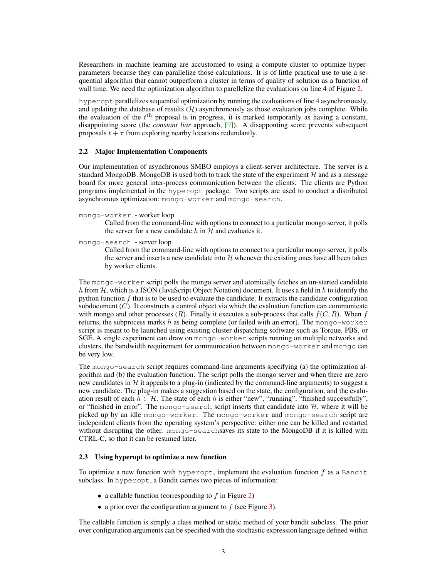Researchers in machine learning are accustomed to using a compute cluster to optimize hyperparameters because they can parallelize those calculations. It is of little practical use to use a sequential algorithm that cannot outperform a cluster in terms of quality of solution as a function of wall time. We need the optimization algorithm to parellelize the evaluations on line 4 of Figure [2.](#page-1-2)

hyperopt parallelizes sequential optimization by running the evaluations of line 4 asynchronously, and updating the database of results  $(H)$  asynchronously as those evaluation jobs complete. While the evaluation of the  $t<sup>th</sup>$  proposal is in progress, it is marked temporarily as having a constant, disappointing score (the *constant liar* approach, [\[9\]](#page-4-8)). A disapponting score prevents subsequent proposals  $t + \tau$  from exploring nearby locations redundantly.

### 2.2 Major Implementation Components

Our implementation of asynchronous SMBO employs a client-server architecture. The server is a standard MongoDB. MongoDB is used both to track the state of the experiment  $H$  and as a message board for more general inter-process communication between the clients. The clients are Python programs implemented in the hyperopt package. Two scripts are used to conduct a distributed asynchronous optimization: mongo-worker and mongo-search.

#### mongo-worker - worker loop

Called from the command-line with options to connect to a particular mongo server, it polls the server for a new candidate h in  $H$  and evaluates it.

mongo-search - server loop

Called from the command-line with options to connect to a particular mongo server, it polls the server and inserts a new candidate into  $H$  whenever the existing ones have all been taken by worker clients.

The mongo-worker script polls the mongo server and atomically fetches an un-started candidate h from H, which is a JSON (JavaScript Object Notation) document. It uses a field in h to identify the python function  $f$  that is to be used to evaluate the candidate. It extracts the candidate configuration subdocument  $(C)$ . It constructs a control object via which the evaluation function can communicate with mongo and other processes  $(R)$ . Finally it executes a sub-process that calls  $f(C, R)$ . When f returns, the subprocess marks h as being complete (or failed with an error). The mongo-worker script is meant to be launched using existing cluster dispatching software such as Torque, PBS, or SGE. A single experiment can draw on mongo-worker scripts running on multiple networks and clusters, the bandwidth requirement for communication between mongo-worker and mongo can be very low.

The mongo-search script requires command-line arguments specifying (a) the optimization algorithm and (b) the evaluation function. The script polls the mongo server and when there are zero new candidates in  $H$  it appeals to a plug-in (indicated by the command-line arguments) to suggest a new candidate. The plug-in makes a suggestion based on the state, the configuration, and the evaluation result of each  $h \in \mathcal{H}$ . The state of each h is either "new", "running", "finished successfully", or "finished in error". The mongo-search script inserts that candidate into  $H$ , where it will be picked up by an idle mongo-worker. The mongo-worker and mongo-search script are independent clients from the operating system's perspective: either one can be killed and restarted without disrupting the other. mongo-searchsaves its state to the MongoDB if it is killed with CTRL-C, so that it can be resumed later.

## 2.3 Using hyperopt to optimize a new function

To optimize a new function with hyperopt, implement the evaluation function  $f$  as a Bandit subclass. In hyperopt, a Bandit carries two pieces of information:

- a callable function (corresponding to  $f$  in Figure [2\)](#page-1-2)
- a prior over the configuration argument to  $f$  (see Figure [3\)](#page-3-0).

The callable function is simply a class method or static method of your bandit subclass. The prior over configuration arguments can be specified with the stochastic expression language defined within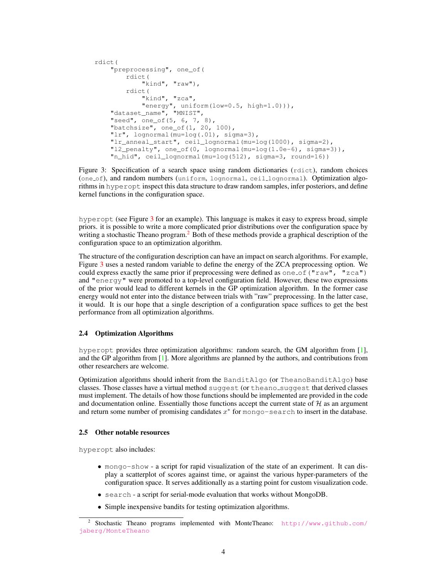```
rdict(
"preprocessing", one_of(
   rdict(
       "kind", "raw"),
    rdict(
        "kind", "zca",
        "energy", uniform(low=0.5, high=1.0))),
"dataset_name", "MNIST",
"seed", one_of(5, 6, 7, 8),
"batchsize", one_of(1, 20, 100),
"lr", lognormal(mu=log(.01), sigma=3),
"lr_anneal_start", ceil_lognormal(mu=log(1000), sigma=2),
"l2_penalty", one_of(0, lognormal(mu=log(1.0e-6), sigma=3)),
"n_hid", ceil_lognormal(mu=log(512), sigma=3, round=16))
```
<span id="page-3-0"></span>Figure 3: Specification of a search space using random dictionaries (rdict), random choices (one of), and random numbers (uniform, lognormal, ceil lognormal). Optimization algorithms in hyperopt inspect this data structure to draw random samples, infer posteriors, and define kernel functions in the configuration space.

hyperopt (see Figure [3](#page-3-0) for an example). This language is makes it easy to express broad, simple priors. it is possible to write a more complicated prior distributions over the configuration space by writing a stochastic Theano program.<sup>[2](#page-3-1)</sup> Both of these methods provide a graphical description of the configuration space to an optimization algorithm.

The structure of the configuration description can have an impact on search algorithms. For example, Figure [3](#page-3-0) uses a nested random variable to define the energy of the ZCA preprocessing option. We could express exactly the same prior if preprocessing were defined as one of ("raw", "zca") and "energy" were promoted to a top-level configuration field. However, these two expressions of the prior would lead to different kernels in the GP optimization algorithm. In the former case energy would not enter into the distance between trials with "raw" preprocessing. In the latter case, it would. It is our hope that a single description of a configuration space suffices to get the best performance from all optimization algorithms.

## 2.4 Optimization Algorithms

hyperopt provides three optimization algorithms: random search, the GM algorithm from [\[1\]](#page-4-0), and the GP algorithm from [\[1\]](#page-4-0). More algorithms are planned by the authors, and contributions from other researchers are welcome.

Optimization algorithms should inherit from the BanditAlgo (or TheanoBanditAlgo) base classes. Those classes have a virtual method suggest (or theano suggest that derived classes must implement. The details of how those functions should be implemented are provided in the code and documentation online. Essentially those functions accept the current state of  $H$  as an argument and return some number of promising candidates  $x^*$  for mongo-search to insert in the database.

## 2.5 Other notable resources

hyperopt also includes:

- mongo-show a script for rapid visualization of the state of an experiment. It can display a scatterplot of scores against time, or against the various hyper-parameters of the configuration space. It serves additionally as a starting point for custom visualization code.
- search a script for serial-mode evaluation that works without MongoDB.
- Simple inexpensive bandits for testing optimization algorithms.

<span id="page-3-1"></span><sup>&</sup>lt;sup>2</sup> Stochastic Theano programs implemented with MonteTheano: [http://www.github.com/](http://www.github.com/jaberg/MonteTheano) [jaberg/MonteTheano](http://www.github.com/jaberg/MonteTheano)